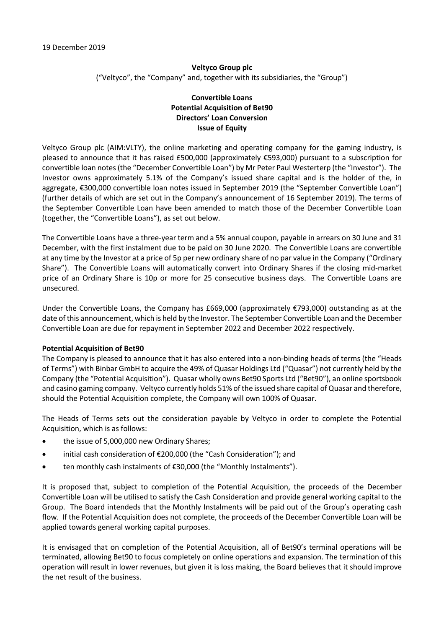# **Veltyco Group plc** ("Veltyco", the "Company" and, together with its subsidiaries, the "Group")

## **Convertible Loans Potential Acquisition of Bet90 Directors' Loan Conversion Issue of Equity**

Veltyco Group plc (AIM:VLTY), the online marketing and operating company for the gaming industry, is pleased to announce that it has raised £500,000 (approximately €593,000) pursuant to a subscription for convertible loan notes (the "December Convertible Loan") by Mr Peter Paul Westerterp (the "Investor"). The Investor owns approximately 5.1% of the Company's issued share capital and is the holder of the, in aggregate, €300,000 convertible loan notes issued in September 2019 (the "September Convertible Loan") (further details of which are set out in the Company's announcement of 16 September 2019). The terms of the September Convertible Loan have been amended to match those of the December Convertible Loan (together, the "Convertible Loans"), as set out below.

The Convertible Loans have a three-year term and a 5% annual coupon, payable in arrears on 30 June and 31 December, with the first instalment due to be paid on 30 June 2020. The Convertible Loans are convertible at any time by the Investor at a price of 5p per new ordinary share of no par value in the Company ("Ordinary Share"). The Convertible Loans will automatically convert into Ordinary Shares if the closing mid-market price of an Ordinary Share is 10p or more for 25 consecutive business days. The Convertible Loans are unsecured.

Under the Convertible Loans, the Company has £669,000 (approximately €793,000) outstanding as at the date of this announcement, which is held by the Investor. The September Convertible Loan and the December Convertible Loan are due for repayment in September 2022 and December 2022 respectively.

#### **Potential Acquisition of Bet90**

The Company is pleased to announce that it has also entered into a non-binding heads of terms (the "Heads of Terms") with Binbar GmbH to acquire the 49% of Quasar Holdings Ltd ("Quasar") not currently held by the Company (the "Potential Acquisition"). Quasar wholly owns Bet90 Sports Ltd ("Bet90"), an online sportsbook and casino gaming company. Veltyco currently holds 51% of the issued share capital of Quasar and therefore, should the Potential Acquisition complete, the Company will own 100% of Quasar.

The Heads of Terms sets out the consideration payable by Veltyco in order to complete the Potential Acquisition, which is as follows:

- the issue of 5,000,000 new Ordinary Shares;
- initial cash consideration of €200,000 (the "Cash Consideration"); and
- ten monthly cash instalments of €30,000 (the "Monthly Instalments").

It is proposed that, subject to completion of the Potential Acquisition, the proceeds of the December Convertible Loan will be utilised to satisfy the Cash Consideration and provide general working capital to the Group. The Board intendeds that the Monthly Instalments will be paid out of the Group's operating cash flow. If the Potential Acquisition does not complete, the proceeds of the December Convertible Loan will be applied towards general working capital purposes.

It is envisaged that on completion of the Potential Acquisition, all of Bet90's terminal operations will be terminated, allowing Bet90 to focus completely on online operations and expansion. The termination of this operation will result in lower revenues, but given it is loss making, the Board believes that it should improve the net result of the business.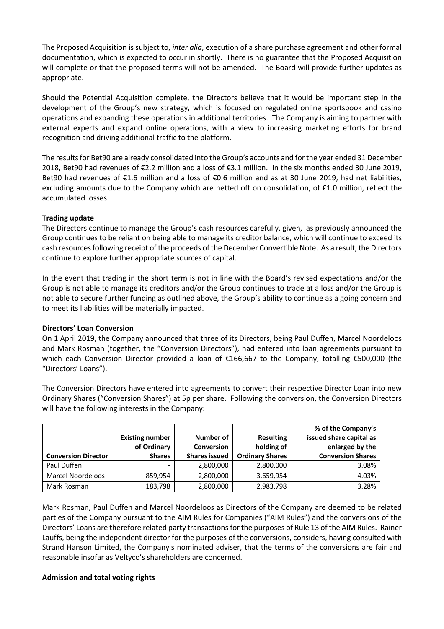The Proposed Acquisition is subject to, *inter alia*, execution of a share purchase agreement and other formal documentation, which is expected to occur in shortly. There is no guarantee that the Proposed Acquisition will complete or that the proposed terms will not be amended. The Board will provide further updates as appropriate.

Should the Potential Acquisition complete, the Directors believe that it would be important step in the development of the Group's new strategy, which is focused on regulated online sportsbook and casino operations and expanding these operations in additional territories. The Company is aiming to partner with external experts and expand online operations, with a view to increasing marketing efforts for brand recognition and driving additional traffic to the platform.

The results for Bet90 are already consolidated into the Group's accounts and for the year ended 31 December 2018, Bet90 had revenues of €2.2 million and a loss of €3.1 million. In the six months ended 30 June 2019, Bet90 had revenues of €1.6 million and a loss of €0.6 million and as at 30 June 2019, had net liabilities, excluding amounts due to the Company which are netted off on consolidation, of €1.0 million, reflect the accumulated losses.

# **Trading update**

The Directors continue to manage the Group's cash resources carefully, given, as previously announced the Group continues to be reliant on being able to manage its creditor balance, which will continue to exceed its cash resources following receipt of the proceeds of the December Convertible Note. As a result, the Directors continue to explore further appropriate sources of capital.

In the event that trading in the short term is not in line with the Board's revised expectations and/or the Group is not able to manage its creditors and/or the Group continues to trade at a loss and/or the Group is not able to secure further funding as outlined above, the Group's ability to continue as a going concern and to meet its liabilities will be materially impacted.

# **Directors' Loan Conversion**

On 1 April 2019, the Company announced that three of its Directors, being Paul Duffen, Marcel Noordeloos and Mark Rosman (together, the "Conversion Directors"), had entered into loan agreements pursuant to which each Conversion Director provided a loan of €166,667 to the Company, totalling €500,000 (the "Directors' Loans").

The Conversion Directors have entered into agreements to convert their respective Director Loan into new Ordinary Shares ("Conversion Shares") at 5p per share. Following the conversion, the Conversion Directors will have the following interests in the Company:

|                            |                                       |                                |                                | % of the Company's                         |
|----------------------------|---------------------------------------|--------------------------------|--------------------------------|--------------------------------------------|
|                            | <b>Existing number</b><br>of Ordinary | Number of<br><b>Conversion</b> | <b>Resulting</b><br>holding of | issued share capital as<br>enlarged by the |
| <b>Conversion Director</b> | <b>Shares</b>                         | <b>Shares issued</b>           | <b>Ordinary Shares</b>         | <b>Conversion Shares</b>                   |
| Paul Duffen                |                                       | 2,800,000                      | 2,800,000                      | 3.08%                                      |
| Marcel Noordeloos          | 859,954                               | 2,800,000                      | 3,659,954                      | 4.03%                                      |
| Mark Rosman                | 183,798                               | 2,800,000                      | 2,983,798                      | 3.28%                                      |

Mark Rosman, Paul Duffen and Marcel Noordeloos as Directors of the Company are deemed to be related parties of the Company pursuant to the AIM Rules for Companies ("AIM Rules") and the conversions of the Directors' Loans are therefore related party transactions for the purposes of Rule 13 of the AIM Rules. Rainer Lauffs, being the independent director for the purposes of the conversions, considers, having consulted with Strand Hanson Limited, the Company's nominated adviser, that the terms of the conversions are fair and reasonable insofar as Veltyco's shareholders are concerned.

#### **Admission and total voting rights**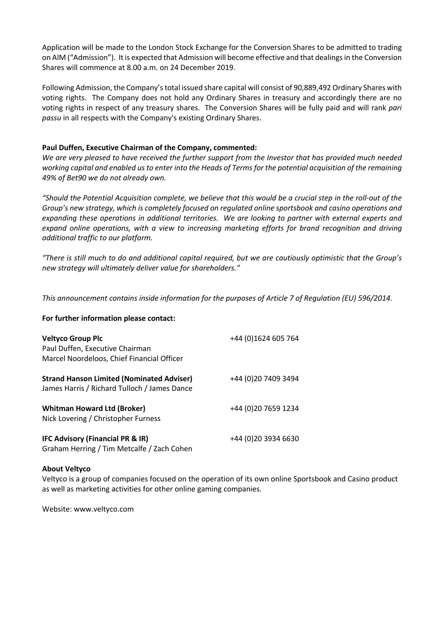Application will be made to the London Stock Exchange for the Conversion Shares to be admitted to trading on AIM ("Admission"). It is expected that Admission will become effective and that dealings in the Conversion Shares will commence at 8.00 a.m. on 24 December 2019.

Following Admission, the Company's total issued share capital will consist of 90,889,492 Ordinary Shares with voting rights. The Company does not hold any Ordinary Shares in treasury and accordingly there are no voting rights in respect of any treasury shares. The Conversion Shares will be fully paid and will rank *pari passu* in all respects with the Company's existing Ordinary Shares.

### **Paul Duffen, Executive Chairman of the Company, commented:**

*We are very pleased to have received the further support from the Investor that has provided much needed working capital and enabled us to enter into the Heads of Terms for the potential acquisition of the remaining 49% of Bet90 we do not already own.*

*"Should the Potential Acquisition complete, we believe that this would be a crucial step in the roll-out of the Group's new strategy, which is completely focused on regulated online sportsbook and casino operations and expanding these operations in additional territories. We are looking to partner with external experts and expand online operations, with a view to increasing marketing efforts for brand recognition and driving additional traffic to our platform.*

*"There is still much to do and additional capital required, but we are cautiously optimistic that the Group's new strategy will ultimately deliver value for shareholders."*

*This announcement contains inside information for the purposes of Article 7 of Regulation (EU) 596/2014.*

#### **For further information please contact:**

| <b>Veltyco Group Plc</b><br>Paul Duffen, Executive Chairman<br>Marcel Noordeloos, Chief Financial Officer | +44 (0)1624 605 764  |
|-----------------------------------------------------------------------------------------------------------|----------------------|
| <b>Strand Hanson Limited (Nominated Adviser)</b><br>James Harris / Richard Tulloch / James Dance          | +44 (0) 20 7409 3494 |
| <b>Whitman Howard Ltd (Broker)</b><br>Nick Lovering / Christopher Furness                                 | +44 (0) 20 7659 1234 |
| IFC Advisory (Financial PR & IR)<br>Graham Herring / Tim Metcalfe / Zach Cohen                            | +44 (0) 20 3934 6630 |

#### **About Veltyco**

Veltyco is a group of companies focused on the operation of its own online Sportsbook and Casino product as well as marketing activities for other online gaming companies.

Website: www.veltyco.com